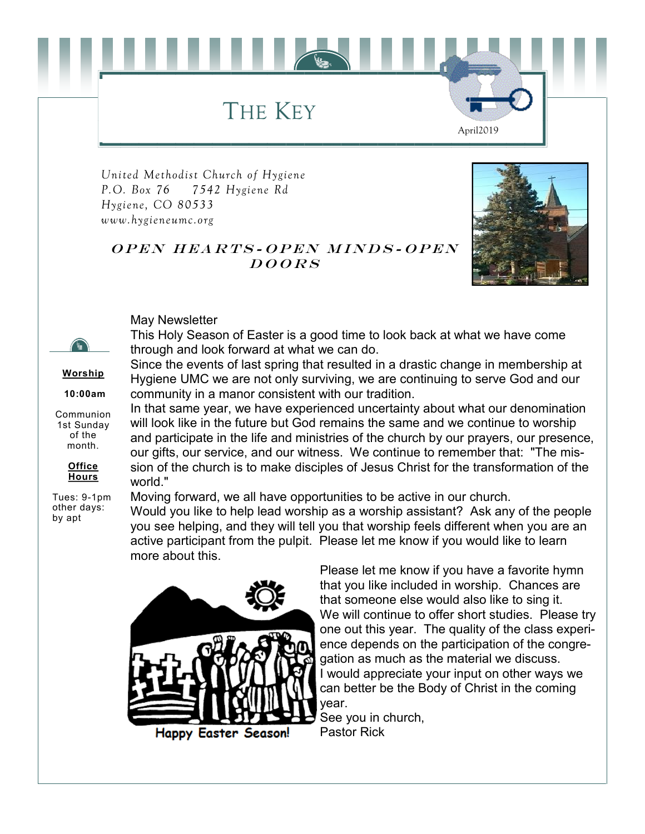THE KEY

*United Methodist Church of Hygiene P.O. Box 76 7542 Hygiene Rd Hygiene, CO 80533 www.hygieneumc.org*



April2019

#### OPEN HEARTS-OPEN MINDS-OPEN  $DOORS$

May Newsletter

**Worship 10:00am** Communion 1st Sunday of the month.

**Office Hours** Tues: 9-1pm other days: by apt

This Holy Season of Easter is a good time to look back at what we have come through and look forward at what we can do.

Since the events of last spring that resulted in a drastic change in membership at Hygiene UMC we are not only surviving, we are continuing to serve God and our community in a manor consistent with our tradition.

In that same year, we have experienced uncertainty about what our denomination will look like in the future but God remains the same and we continue to worship and participate in the life and ministries of the church by our prayers, our presence, our gifts, our service, and our witness. We continue to remember that: "The mission of the church is to make disciples of Jesus Christ for the transformation of the world."

Moving forward, we all have opportunities to be active in our church. Would you like to help lead worship as a worship assistant? Ask any of the people you see helping, and they will tell you that worship feels different when you are an active participant from the pulpit. Please let me know if you would like to learn more about this.



Please let me know if you have a favorite hymn that you like included in worship. Chances are that someone else would also like to sing it. We will continue to offer short studies. Please try one out this year. The quality of the class experience depends on the participation of the congregation as much as the material we discuss. I would appreciate your input on other ways we can better be the Body of Christ in the coming year.

See you in church, Pastor Rick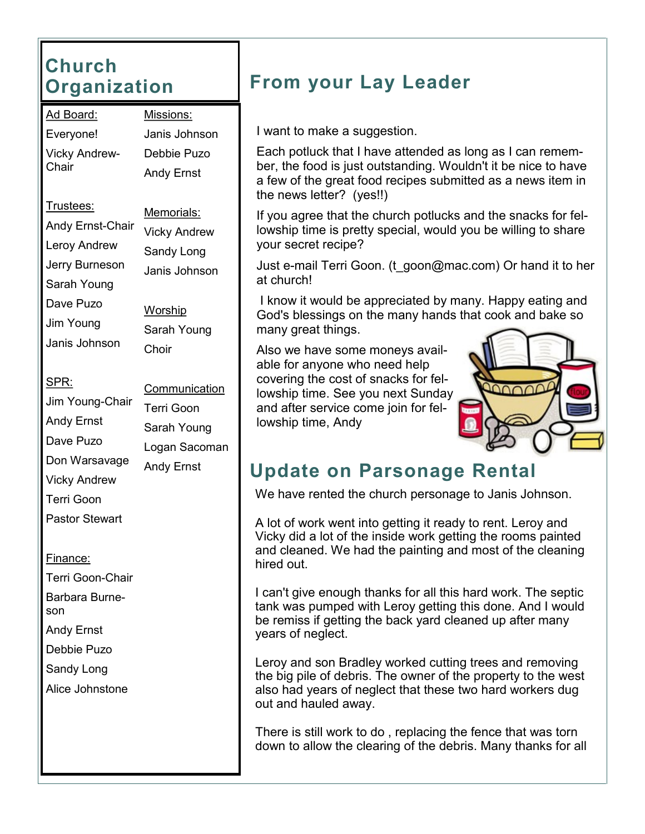#### **Church Organization**

| Ad Board:                     | Missi |  |
|-------------------------------|-------|--|
| Everyone!                     | Janis |  |
| <b>Vicky Andrew-</b><br>Chair | Debb  |  |
|                               | Andy  |  |
|                               |       |  |

Trustees: Andy Ernst-Chair

- Leroy Andrew
- Jerry Burneson
- Sarah Young
- Dave Puzo
- Jim Young
- Janis Johnson
- SPR:
- Jim Young-Chair Andy Ernst Dave Puzo Don Warsavage

ons: Janis Johnson ie Puzo Ernst

> Memorials: Vicky Andrew Sandy Long Janis Johnson

**Worship** Sarah Young **Choir** 

- **Communication** Terri Goon Sarah Young Logan Sacoman Andy Ernst
- Vicky Andrew Terri Goon
- Pastor Stewart

Finance:

- Terri Goon-Chair Barbara Burneson Andy Ernst
- Debbie Puzo
- Sandy Long
- Alice Johnstone

## **From your Lay Leader**

I want to make a suggestion.

Each potluck that I have attended as long as I can remember, the food is just outstanding. Wouldn't it be nice to have a few of the great food recipes submitted as a news item in the news letter? (yes!!)

If you agree that the church potlucks and the snacks for fellowship time is pretty special, would you be willing to share your secret recipe?

Just e-mail Terri Goon. (t\_goon@mac.com) Or hand it to her at church!

I know it would be appreciated by many. Happy eating and God's blessings on the many hands that cook and bake so many great things.

Also we have some moneys available for anyone who need help covering the cost of snacks for fellowship time. See you next Sunday and after service come join for fellowship time, Andy



### **Update on Parsonage Rental**

We have rented the church personage to Janis Johnson.

A lot of work went into getting it ready to rent. Leroy and Vicky did a lot of the inside work getting the rooms painted and cleaned. We had the painting and most of the cleaning hired out.

I can't give enough thanks for all this hard work. The septic tank was pumped with Leroy getting this done. And I would be remiss if getting the back yard cleaned up after many years of neglect.

Leroy and son Bradley worked cutting trees and removing the big pile of debris. The owner of the property to the west also had years of neglect that these two hard workers dug out and hauled away.

There is still work to do , replacing the fence that was torn down to allow the clearing of the debris. Many thanks for all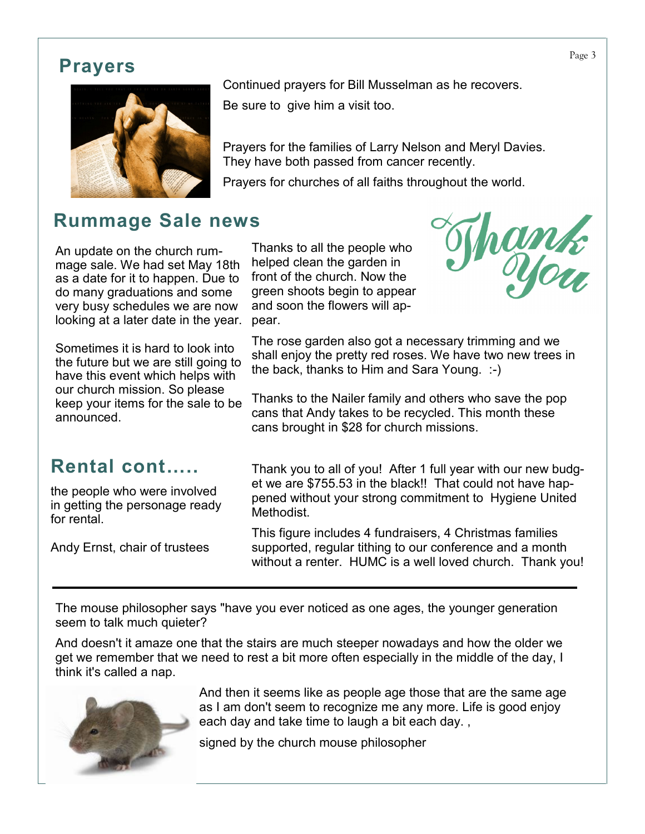#### **Prayers**



#### **Rummage Sale news**

An update on the church rummage sale. We had set May 18th as a date for it to happen. Due to do many graduations and some very busy schedules we are now looking at a later date in the year.

Sometimes it is hard to look into the future but we are still going to have this event which helps with our church mission. So please keep your items for the sale to be announced.

#### Continued prayers for Bill Musselman as he recovers.

Be sure to give him a visit too.

Prayers for the families of Larry Nelson and Meryl Davies. They have both passed from cancer recently.

Prayers for churches of all faiths throughout the world.

Thanks to all the people who helped clean the garden in front of the church. Now the green shoots begin to appear and soon the flowers will appear.



The rose garden also got a necessary trimming and we shall enjoy the pretty red roses. We have two new trees in the back, thanks to Him and Sara Young. :-)

Thanks to the Nailer family and others who save the pop cans that Andy takes to be recycled. This month these cans brought in \$28 for church missions.

#### **Rental cont…..**

the people who were involved in getting the personage ready for rental.

Andy Ernst, chair of trustees

Thank you to all of you! After 1 full year with our new budget we are \$755.53 in the black!! That could not have happened without your strong commitment to Hygiene United **Methodist** 

This figure includes 4 fundraisers, 4 Christmas families supported, regular tithing to our conference and a month without a renter. HUMC is a well loved church. Thank you!

The mouse philosopher says "have you ever noticed as one ages, the younger generation seem to talk much quieter?

And doesn't it amaze one that the stairs are much steeper nowadays and how the older we get we remember that we need to rest a bit more often especially in the middle of the day, I think it's called a nap.



And then it seems like as people age those that are the same age as I am don't seem to recognize me any more. Life is good enjoy each day and take time to laugh a bit each day. ,

signed by the church mouse philosopher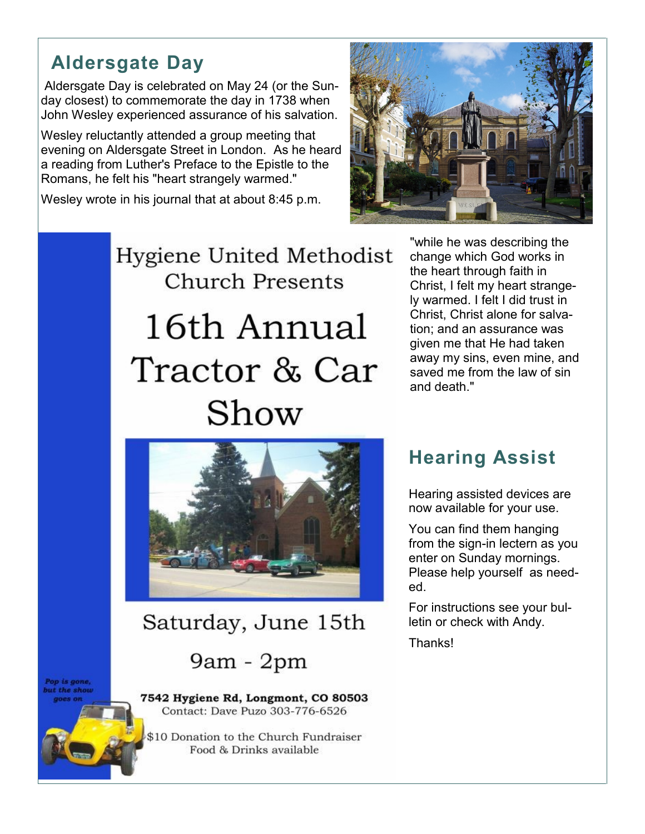#### **Aldersgate Day**

Aldersgate Day is celebrated on May 24 (or the Sunday closest) to commemorate the day in 1738 when John Wesley experienced assurance of his salvation.

Wesley reluctantly attended a group meeting that evening on Aldersgate Street in London. As he heard a reading from Luther's Preface to the Epistle to the Romans, he felt his "heart strangely warmed."

Wesley wrote in his journal that at about 8:45 p.m.



# Hygiene United Methodist **Church Presents** 16th Annual Tractor & Car Show

"while he was describing the change which God works in the heart through faith in Christ, I felt my heart strangely warmed. I felt I did trust in Christ, Christ alone for salvation; and an assurance was given me that He had taken away my sins, even mine, and saved me from the law of sin and death."



#### Saturday, June 15th

9am - 2pm

it the show

op is gone,

7542 Hygiene Rd, Longmont, CO 80503 Contact: Dave Puzo 303-776-6526

\$10 Donation to the Church Fundraiser Food & Drinks available

#### **Hearing Assist**

Hearing assisted devices are now available for your use.

You can find them hanging from the sign-in lectern as you enter on Sunday mornings. Please help yourself as needed.

For instructions see your bulletin or check with Andy.

**Thanks!**